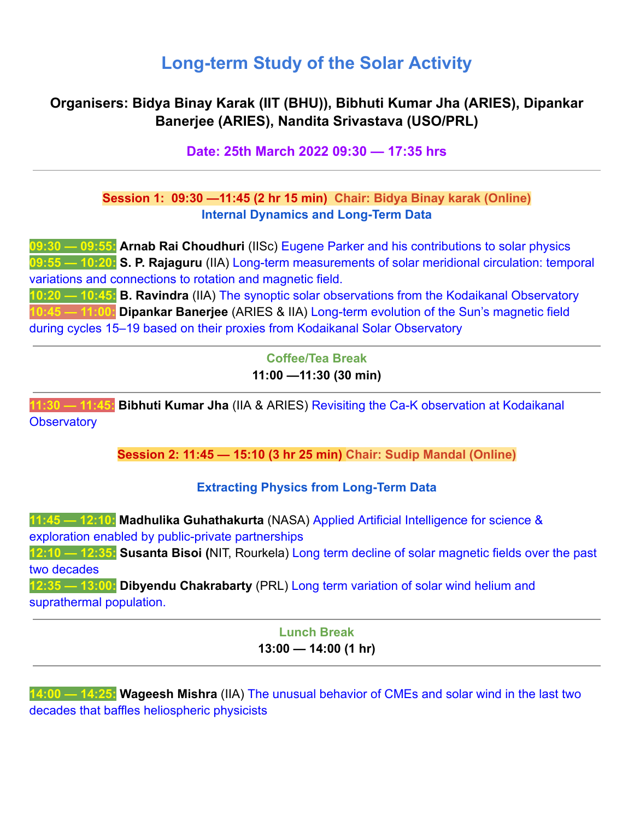# **Long-term Study of the Solar Activity**

## **Organisers: Bidya Binay Karak (IIT (BHU)), Bibhuti Kumar Jha (ARIES), Dipankar Banerjee (ARIES), Nandita Srivastava (USO/PRL)**

#### **Date: 25th March 2022 09:30 — 17:35 hrs**

#### **Session 1: 09:30 —11:45 (2 hr 15 min) Chair: Bidya Binay karak (Online) Internal Dynamics and Long-Term Data**

**09:30 — 09:55: Arnab Rai Choudhuri** (IISc) Eugene Parker and his contributions to solar physics **09:55 — 10:20: S. P. Rajaguru** (IIA) Long-term measurements of solar meridional circulation: temporal variations and connections to rotation and magnetic field.

**10:20 — 10:45: B. Ravindra** (IIA) The synoptic solar observations from the Kodaikanal Observatory **10:45 — 11:00: Dipankar Banerjee** (ARIES & IIA) Long-term evolution of the Sun's magnetic field during cycles 15–19 based on their proxies from Kodaikanal Solar Observatory

> **Coffee/Tea Break 11:00 —11:30 (30 min)**

**11:30 — 11:45: Bibhuti Kumar Jha** (IIA & ARIES) Revisiting the Ca-K observation at Kodaikanal **Observatory** 

**Session 2: 11:45 — 15:10 (3 hr 25 min) Chair: Sudip Mandal (Online)**

#### **Extracting Physics from Long-Term Data**

**11:45 — 12:10: Madhulika Guhathakurta** (NASA) Applied Artificial Intelligence for science & exploration enabled by public-private partnerships **12:10 — 12:35: Susanta Bisoi (**NIT, Rourkela) Long term decline of solar magnetic fields over the past two decades **12:35 — 13:00: Dibyendu Chakrabarty** (PRL) Long term variation of solar wind helium and suprathermal population.

## **Lunch Break 13:00 — 14:00 (1 hr)**

**14:00 — 14:25: Wageesh Mishra** (IIA) The unusual behavior of CMEs and solar wind in the last two decades that baffles heliospheric physicists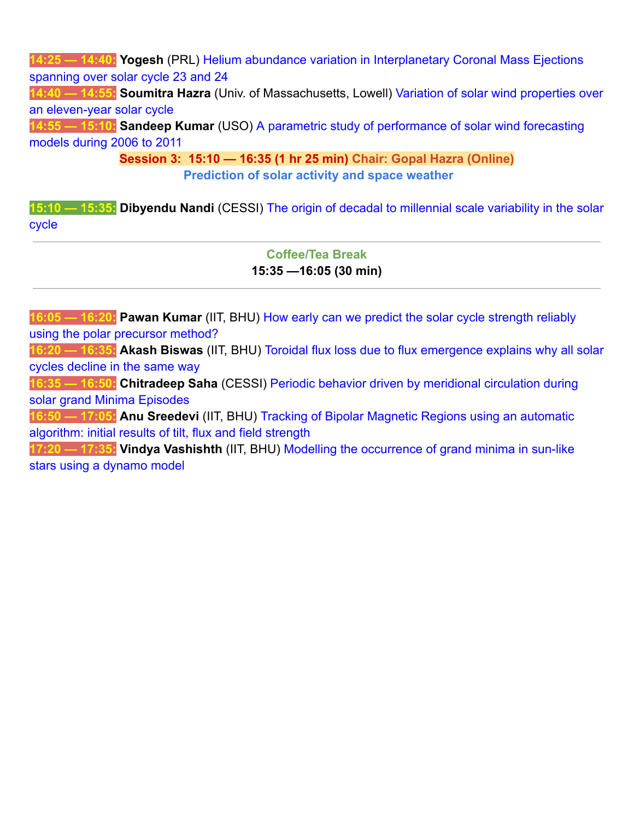**14:25 — 14:40: Yogesh** (PRL) Helium abundance variation in Interplanetary Coronal Mass Ejections spanning over solar cycle 23 and 24

**14:40 — 14:55: Soumitra Hazra** (Univ. of Massachusetts, Lowell) Variation of solar wind properties over an eleven-year solar cycle

**14:55 — 15:10: Sandeep Kumar** (USO) A parametric study of performance of solar wind forecasting models during 2006 to 2011

> **Session 3: 15:10 — 16:35 (1 hr 25 min) Chair: Gopal Hazra (Online) Prediction of solar activity and space weather**

**15:10 — 15:35: Dibyendu Nandi** (CESSI) The origin of decadal to millennial scale variability in the solar cycle

#### **Coffee/Tea Break 15:35 —16:05 (30 min)**

**16:05 — 16:20: Pawan Kumar** (IIT, BHU) How early can we predict the solar cycle strength reliably using the polar precursor method?

**16:20 — 16:35: Akash Biswas** (IIT, BHU) Toroidal flux loss due to flux emergence explains why all solar cycles decline in the same way

**16:35 — 16:50: Chitradeep Saha** (CESSI) Periodic behavior driven by meridional circulation during solar grand Minima Episodes

**16:50 — 17:05: Anu Sreedevi** (IIT, BHU) Tracking of Bipolar Magnetic Regions using an automatic algorithm: initial results of tilt, flux and field strength

**17:20 — 17:35: Vindya Vashishth** (IIT, BHU) Modelling the occurrence of grand minima in sun-like stars using a dynamo model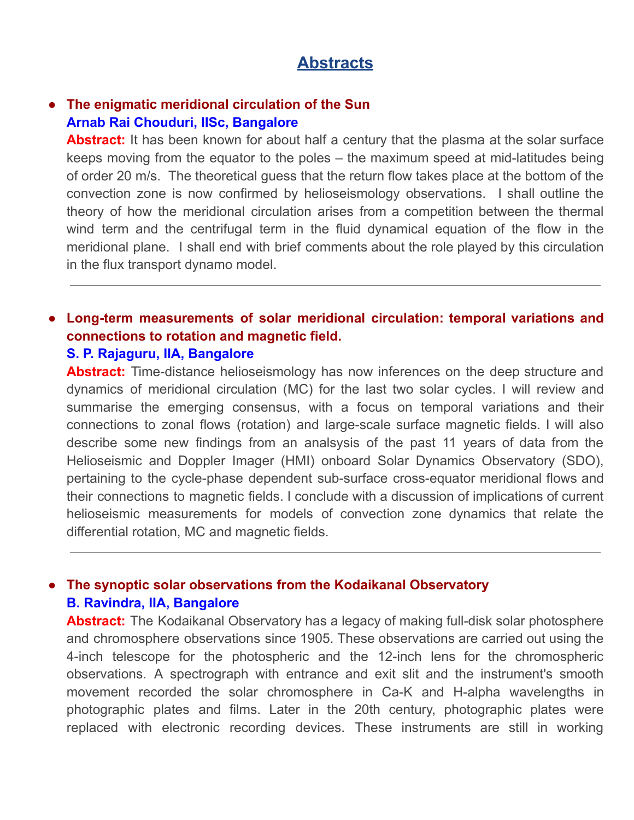## **Abstracts**

### **● The enigmatic meridional circulation of the Sun Arnab Rai Chouduri, IISc, Bangalore**

**Abstract:** It has been known for about half a century that the plasma at the solar surface keeps moving from the equator to the poles – the maximum speed at mid-latitudes being of order 20 m/s. The theoretical guess that the return flow takes place at the bottom of the convection zone is now confirmed by helioseismology observations. I shall outline the theory of how the meridional circulation arises from a competition between the thermal wind term and the centrifugal term in the fluid dynamical equation of the flow in the meridional plane. I shall end with brief comments about the role played by this circulation in the flux transport dynamo model.

# ● **Long-term measurements of solar meridional circulation: temporal variations and connections to rotation and magnetic field.**

## **S. P. Rajaguru, IIA, Bangalore**

**Abstract:** Time-distance helioseismology has now inferences on the deep structure and dynamics of meridional circulation (MC) for the last two solar cycles. I will review and summarise the emerging consensus, with a focus on temporal variations and their connections to zonal flows (rotation) and large-scale surface magnetic fields. I will also describe some new findings from an analsysis of the past 11 years of data from the Helioseismic and Doppler Imager (HMI) onboard Solar Dynamics Observatory (SDO), pertaining to the cycle-phase dependent sub-surface cross-equator meridional flows and their connections to magnetic fields. I conclude with a discussion of implications of current helioseismic measurements for models of convection zone dynamics that relate the differential rotation, MC and magnetic fields.

## ● **The synoptic solar observations from the Kodaikanal Observatory B. Ravindra, IIA, Bangalore**

**Abstract:** The Kodaikanal Observatory has a legacy of making full-disk solar photosphere and chromosphere observations since 1905. These observations are carried out using the 4-inch telescope for the photospheric and the 12-inch lens for the chromospheric observations. A spectrograph with entrance and exit slit and the instrument's smooth movement recorded the solar chromosphere in Ca-K and H-alpha wavelengths in photographic plates and films. Later in the 20th century, photographic plates were replaced with electronic recording devices. These instruments are still in working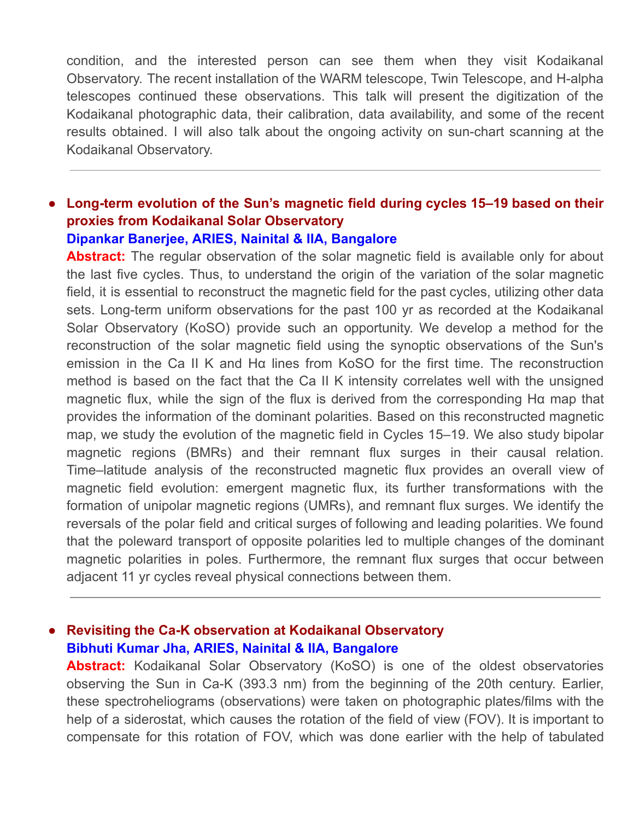condition, and the interested person can see them when they visit Kodaikanal Observatory. The recent installation of the WARM telescope, Twin Telescope, and H-alpha telescopes continued these observations. This talk will present the digitization of the Kodaikanal photographic data, their calibration, data availability, and some of the recent results obtained. I will also talk about the ongoing activity on sun-chart scanning at the Kodaikanal Observatory.

### ● **Long-term evolution of the Sun's magnetic field during cycles 15–19 based on their proxies from Kodaikanal Solar Observatory Dipankar Banerjee, ARIES, Nainital & IIA, Bangalore**

**Abstract:** The regular observation of the solar magnetic field is available only for about the last five cycles. Thus, to understand the origin of the variation of the solar magnetic field, it is essential to reconstruct the magnetic field for the past cycles, utilizing other data sets. Long-term uniform observations for the past 100 yr as recorded at the Kodaikanal Solar Observatory (KoSO) provide such an opportunity. We develop a method for the reconstruction of the solar magnetic field using the synoptic observations of the Sun's emission in the Ca II K and Hα lines from KoSO for the first time. The reconstruction method is based on the fact that the Ca II K intensity correlates well with the unsigned magnetic flux, while the sign of the flux is derived from the corresponding Hα map that provides the information of the dominant polarities. Based on this reconstructed magnetic map, we study the evolution of the magnetic field in Cycles 15–19. We also study bipolar magnetic regions (BMRs) and their remnant flux surges in their causal relation. Time–latitude analysis of the reconstructed magnetic flux provides an overall view of magnetic field evolution: emergent magnetic flux, its further transformations with the formation of unipolar magnetic regions (UMRs), and remnant flux surges. We identify the reversals of the polar field and critical surges of following and leading polarities. We found that the poleward transport of opposite polarities led to multiple changes of the dominant magnetic polarities in poles. Furthermore, the remnant flux surges that occur between adjacent 11 yr cycles reveal physical connections between them.

## ● **Revisiting the Ca-K observation at Kodaikanal Observatory Bibhuti Kumar Jha, ARIES, Nainital & IIA, Bangalore**

Abstract: Kodaikanal Solar Observatory (KoSO) is one of the oldest observatories observing the Sun in Ca-K (393.3 nm) from the beginning of the 20th century. Earlier, these spectroheliograms (observations) were taken on photographic plates/films with the help of a siderostat, which causes the rotation of the field of view (FOV). It is important to compensate for this rotation of FOV, which was done earlier with the help of tabulated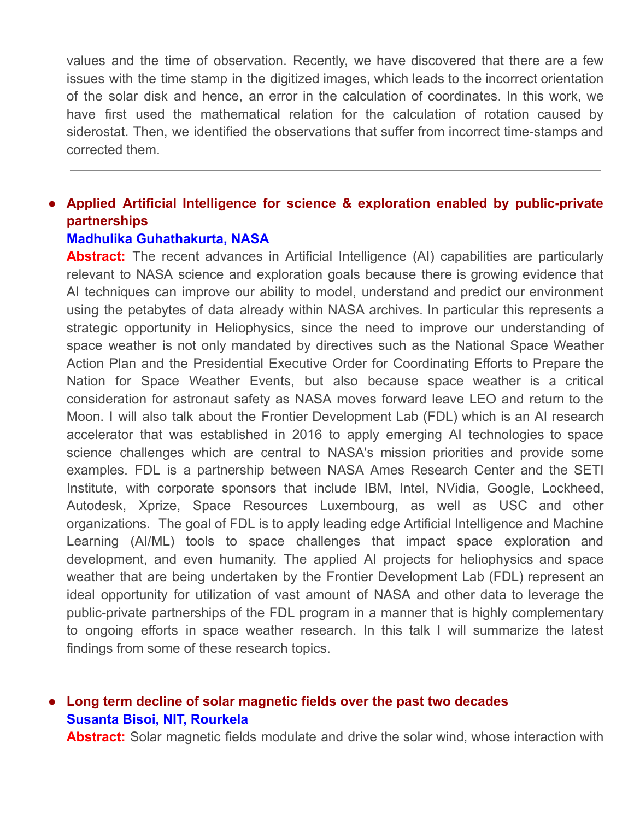values and the time of observation. Recently, we have discovered that there are a few issues with the time stamp in the digitized images, which leads to the incorrect orientation of the solar disk and hence, an error in the calculation of coordinates. In this work, we have first used the mathematical relation for the calculation of rotation caused by siderostat. Then, we identified the observations that suffer from incorrect time-stamps and corrected them.

## ● **Applied Artificial Intelligence for science & exploration enabled by public-private partnerships**

#### **Madhulika Guhathakurta, NASA**

**Abstract:** The recent advances in Artificial Intelligence (AI) capabilities are particularly relevant to NASA science and exploration goals because there is growing evidence that AI techniques can improve our ability to model, understand and predict our environment using the petabytes of data already within NASA archives. In particular this represents a strategic opportunity in Heliophysics, since the need to improve our understanding of space weather is not only mandated by directives such as the National Space Weather Action Plan and the Presidential Executive Order for Coordinating Efforts to Prepare the Nation for Space Weather Events, but also because space weather is a critical consideration for astronaut safety as NASA moves forward leave LEO and return to the Moon. I will also talk about the Frontier Development Lab (FDL) which is an AI research accelerator that was established in 2016 to apply emerging AI technologies to space science challenges which are central to NASA's mission priorities and provide some examples. FDL is a partnership between NASA Ames Research Center and the SETI Institute, with corporate sponsors that include IBM, Intel, NVidia, Google, Lockheed, Autodesk, Xprize, Space Resources Luxembourg, as well as USC and other organizations. The goal of FDL is to apply leading edge Artificial Intelligence and Machine Learning (AI/ML) tools to space challenges that impact space exploration and development, and even humanity. The applied AI projects for heliophysics and space weather that are being undertaken by the Frontier Development Lab (FDL) represent an ideal opportunity for utilization of vast amount of NASA and other data to leverage the public-private partnerships of the FDL program in a manner that is highly complementary to ongoing efforts in space weather research. In this talk I will summarize the latest findings from some of these research topics.

## ● **Long term decline of solar magnetic fields over the past two decades Susanta Bisoi, NIT, Rourkela**

**Abstract:** Solar magnetic fields modulate and drive the solar wind, whose interaction with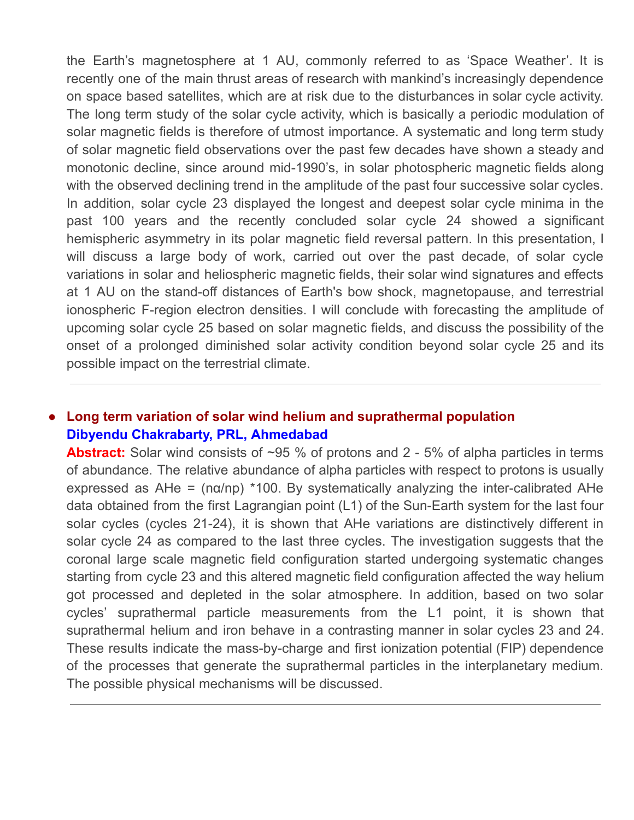the Earth's magnetosphere at 1 AU, commonly referred to as 'Space Weather'. It is recently one of the main thrust areas of research with mankind's increasingly dependence on space based satellites, which are at risk due to the disturbances in solar cycle activity. The long term study of the solar cycle activity, which is basically a periodic modulation of solar magnetic fields is therefore of utmost importance. A systematic and long term study of solar magnetic field observations over the past few decades have shown a steady and monotonic decline, since around mid-1990's, in solar photospheric magnetic fields along with the observed declining trend in the amplitude of the past four successive solar cycles. In addition, solar cycle 23 displayed the longest and deepest solar cycle minima in the past 100 years and the recently concluded solar cycle 24 showed a significant hemispheric asymmetry in its polar magnetic field reversal pattern. In this presentation, I will discuss a large body of work, carried out over the past decade, of solar cycle variations in solar and heliospheric magnetic fields, their solar wind signatures and effects at 1 AU on the stand-off distances of Earth's bow shock, magnetopause, and terrestrial ionospheric F-region electron densities. I will conclude with forecasting the amplitude of upcoming solar cycle 25 based on solar magnetic fields, and discuss the possibility of the onset of a prolonged diminished solar activity condition beyond solar cycle 25 and its possible impact on the terrestrial climate.

## ● **Long term variation of solar wind helium and suprathermal population Dibyendu Chakrabarty, PRL, Ahmedabad**

**Abstract:** Solar wind consists of ~95 % of protons and 2 - 5% of alpha particles in terms of abundance. The relative abundance of alpha particles with respect to protons is usually expressed as  $AHe = (na/np)$  \*100. By systematically analyzing the inter-calibrated AHe data obtained from the first Lagrangian point (L1) of the Sun-Earth system for the last four solar cycles (cycles 21-24), it is shown that AHe variations are distinctively different in solar cycle 24 as compared to the last three cycles. The investigation suggests that the coronal large scale magnetic field configuration started undergoing systematic changes starting from cycle 23 and this altered magnetic field configuration affected the way helium got processed and depleted in the solar atmosphere. In addition, based on two solar cycles' suprathermal particle measurements from the L1 point, it is shown that suprathermal helium and iron behave in a contrasting manner in solar cycles 23 and 24. These results indicate the mass-by-charge and first ionization potential (FIP) dependence of the processes that generate the suprathermal particles in the interplanetary medium. The possible physical mechanisms will be discussed.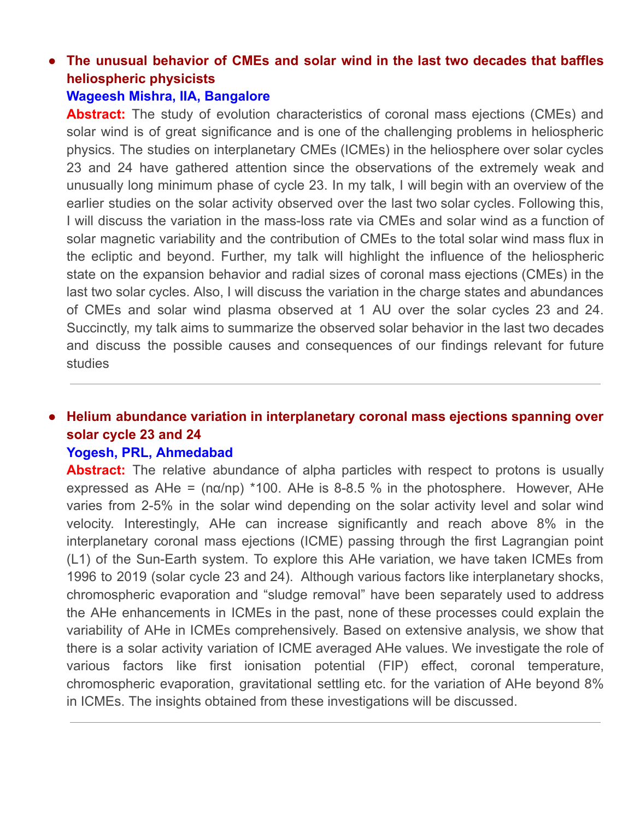# ● **The unusual behavior of CMEs and solar wind in the last two decades that baffles heliospheric physicists**

## **Wageesh Mishra, IIA, Bangalore**

**Abstract:** The study of evolution characteristics of coronal mass ejections (CMEs) and solar wind is of great significance and is one of the challenging problems in heliospheric physics. The studies on interplanetary CMEs (ICMEs) in the heliosphere over solar cycles 23 and 24 have gathered attention since the observations of the extremely weak and unusually long minimum phase of cycle 23. In my talk, I will begin with an overview of the earlier studies on the solar activity observed over the last two solar cycles. Following this, I will discuss the variation in the mass-loss rate via CMEs and solar wind as a function of solar magnetic variability and the contribution of CMEs to the total solar wind mass flux in the ecliptic and beyond. Further, my talk will highlight the influence of the heliospheric state on the expansion behavior and radial sizes of coronal mass ejections (CMEs) in the last two solar cycles. Also, I will discuss the variation in the charge states and abundances of CMEs and solar wind plasma observed at 1 AU over the solar cycles 23 and 24. Succinctly, my talk aims to summarize the observed solar behavior in the last two decades and discuss the possible causes and consequences of our findings relevant for future studies

## ● **Helium abundance variation in interplanetary coronal mass ejections spanning over solar cycle 23 and 24**

#### **Yogesh, PRL, Ahmedabad**

**Abstract:** The relative abundance of alpha particles with respect to protons is usually expressed as AHe =  $(n\alpha/np)$  \*100. AHe is 8-8.5 % in the photosphere. However, AHe varies from 2-5% in the solar wind depending on the solar activity level and solar wind velocity. Interestingly, AHe can increase significantly and reach above 8% in the interplanetary coronal mass ejections (ICME) passing through the first Lagrangian point (L1) of the Sun-Earth system. To explore this AHe variation, we have taken ICMEs from 1996 to 2019 (solar cycle 23 and 24). Although various factors like interplanetary shocks, chromospheric evaporation and "sludge removal" have been separately used to address the AHe enhancements in ICMEs in the past, none of these processes could explain the variability of AHe in ICMEs comprehensively. Based on extensive analysis, we show that there is a solar activity variation of ICME averaged AHe values. We investigate the role of various factors like first ionisation potential (FIP) effect, coronal temperature, chromospheric evaporation, gravitational settling etc. for the variation of AHe beyond 8% in ICMEs. The insights obtained from these investigations will be discussed.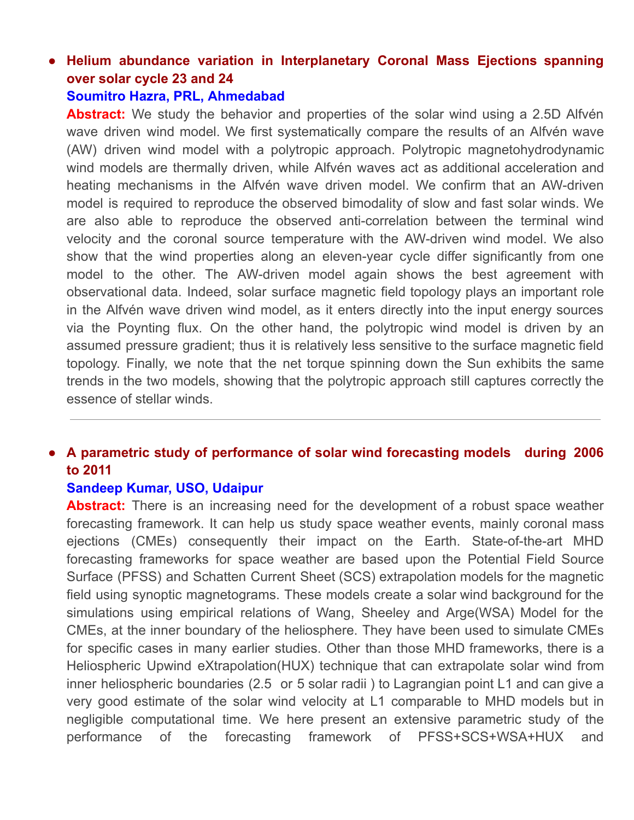# ● **Helium abundance variation in Interplanetary Coronal Mass Ejections spanning over solar cycle 23 and 24**

#### **Soumitro Hazra, PRL, Ahmedabad**

**Abstract:** We study the behavior and properties of the solar wind using a 2.5D Alfvén wave driven wind model. We first systematically compare the results of an Alfvén wave (AW) driven wind model with a polytropic approach. Polytropic magnetohydrodynamic wind models are thermally driven, while Alfvén waves act as additional acceleration and heating mechanisms in the Alfvén wave driven model. We confirm that an AW-driven model is required to reproduce the observed bimodality of slow and fast solar winds. We are also able to reproduce the observed anti-correlation between the terminal wind velocity and the coronal source temperature with the AW-driven wind model. We also show that the wind properties along an eleven-year cycle differ significantly from one model to the other. The AW-driven model again shows the best agreement with observational data. Indeed, solar surface magnetic field topology plays an important role in the Alfvén wave driven wind model, as it enters directly into the input energy sources via the Poynting flux. On the other hand, the polytropic wind model is driven by an assumed pressure gradient; thus it is relatively less sensitive to the surface magnetic field topology. Finally, we note that the net torque spinning down the Sun exhibits the same trends in the two models, showing that the polytropic approach still captures correctly the essence of stellar winds.

## ● **A parametric study of performance of solar wind forecasting models during 2006 to 2011**

#### **Sandeep Kumar, USO, Udaipur**

**Abstract:** There is an increasing need for the development of a robust space weather forecasting framework. It can help us study space weather events, mainly coronal mass ejections (CMEs) consequently their impact on the Earth. State-of-the-art MHD forecasting frameworks for space weather are based upon the Potential Field Source Surface (PFSS) and Schatten Current Sheet (SCS) extrapolation models for the magnetic field using synoptic magnetograms. These models create a solar wind background for the simulations using empirical relations of Wang, Sheeley and Arge(WSA) Model for the CMEs, at the inner boundary of the heliosphere. They have been used to simulate CMEs for specific cases in many earlier studies. Other than those MHD frameworks, there is a Heliospheric Upwind eXtrapolation(HUX) technique that can extrapolate solar wind from inner heliospheric boundaries (2.5 or 5 solar radii ) to Lagrangian point L1 and can give a very good estimate of the solar wind velocity at L1 comparable to MHD models but in negligible computational time. We here present an extensive parametric study of the performance of the forecasting framework of PFSS+SCS+WSA+HUX and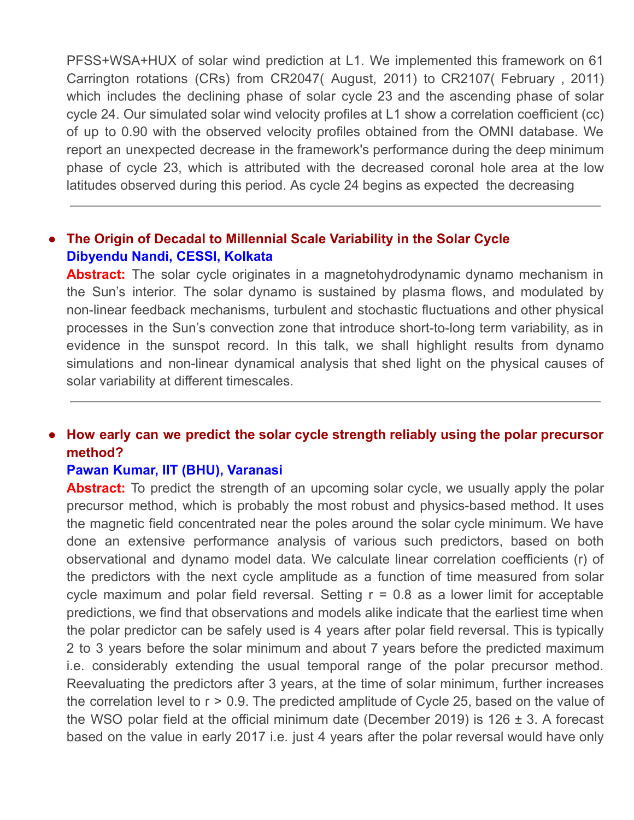PFSS+WSA+HUX of solar wind prediction at L1. We implemented this framework on 61 Carrington rotations (CRs) from CR2047( August, 2011) to CR2107( February , 2011) which includes the declining phase of solar cycle 23 and the ascending phase of solar cycle 24. Our simulated solar wind velocity profiles at L1 show a correlation coefficient (cc) of up to 0.90 with the observed velocity profiles obtained from the OMNI database. We report an unexpected decrease in the framework's performance during the deep minimum phase of cycle 23, which is attributed with the decreased coronal hole area at the low latitudes observed during this period. As cycle 24 begins as expected the decreasing

## ● **The Origin of Decadal to Millennial Scale Variability in the Solar Cycle Dibyendu Nandi, CESSI, Kolkata**

**Abstract:** The solar cycle originates in a magnetohydrodynamic dynamo mechanism in the Sun's interior. The solar dynamo is sustained by plasma flows, and modulated by non-linear feedback mechanisms, turbulent and stochastic fluctuations and other physical processes in the Sun's convection zone that introduce short-to-long term variability, as in evidence in the sunspot record. In this talk, we shall highlight results from dynamo simulations and non-linear dynamical analysis that shed light on the physical causes of solar variability at different timescales.

## ● **How early can we predict the solar cycle strength reliably using the polar precursor method?**

#### **Pawan Kumar, IIT (BHU), Varanasi**

**Abstract:** To predict the strength of an upcoming solar cycle, we usually apply the polar precursor method, which is probably the most robust and physics-based method. It uses the magnetic field concentrated near the poles around the solar cycle minimum. We have done an extensive performance analysis of various such predictors, based on both observational and dynamo model data. We calculate linear correlation coefficients (r) of the predictors with the next cycle amplitude as a function of time measured from solar cycle maximum and polar field reversal. Setting  $r = 0.8$  as a lower limit for acceptable predictions, we find that observations and models alike indicate that the earliest time when the polar predictor can be safely used is 4 years after polar field reversal. This is typically 2 to 3 years before the solar minimum and about 7 years before the predicted maximum i.e. considerably extending the usual temporal range of the polar precursor method. Reevaluating the predictors after 3 years, at the time of solar minimum, further increases the correlation level to r > 0.9. The predicted amplitude of Cycle 25, based on the value of the WSO polar field at the official minimum date (December 2019) is  $126 \pm 3$ . A forecast based on the value in early 2017 i.e. just 4 years after the polar reversal would have only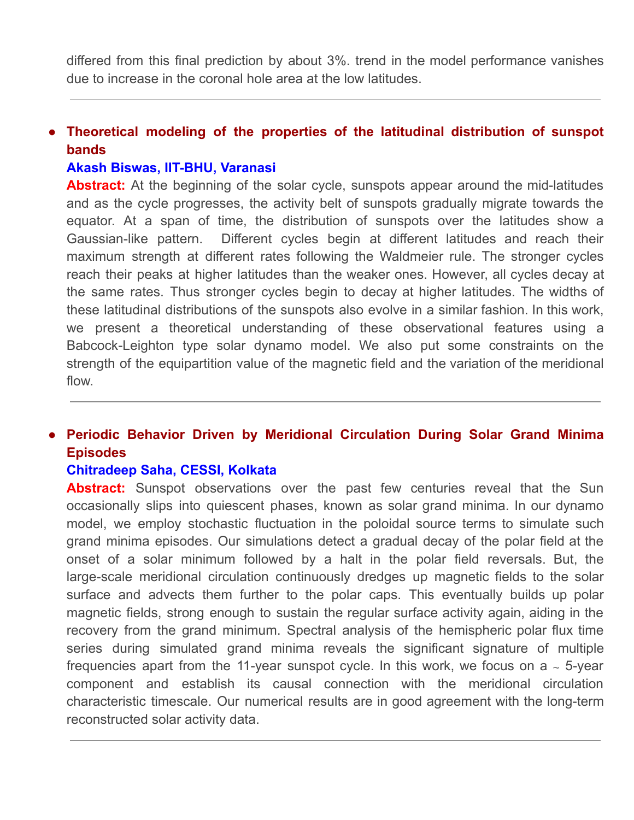differed from this final prediction by about 3%. trend in the model performance vanishes due to increase in the coronal hole area at the low latitudes.

## ● **Theoretical modeling of the properties of the latitudinal distribution of sunspot bands**

### **Akash Biswas, IIT-BHU, Varanasi**

Abstract: At the beginning of the solar cycle, sunspots appear around the mid-latitudes and as the cycle progresses, the activity belt of sunspots gradually migrate towards the equator. At a span of time, the distribution of sunspots over the latitudes show a Gaussian-like pattern. Different cycles begin at different latitudes and reach their maximum strength at different rates following the Waldmeier rule. The stronger cycles reach their peaks at higher latitudes than the weaker ones. However, all cycles decay at the same rates. Thus stronger cycles begin to decay at higher latitudes. The widths of these latitudinal distributions of the sunspots also evolve in a similar fashion. In this work, we present a theoretical understanding of these observational features using a Babcock-Leighton type solar dynamo model. We also put some constraints on the strength of the equipartition value of the magnetic field and the variation of the meridional flow.

## ● **Periodic Behavior Driven by Meridional Circulation During Solar Grand Minima Episodes**

## **Chitradeep Saha, CESSI, Kolkata**

Abstract: Sunspot observations over the past few centuries reveal that the Sun occasionally slips into quiescent phases, known as solar grand minima. In our dynamo model, we employ stochastic fluctuation in the poloidal source terms to simulate such grand minima episodes. Our simulations detect a gradual decay of the polar field at the onset of a solar minimum followed by a halt in the polar field reversals. But, the large-scale meridional circulation continuously dredges up magnetic fields to the solar surface and advects them further to the polar caps. This eventually builds up polar magnetic fields, strong enough to sustain the regular surface activity again, aiding in the recovery from the grand minimum. Spectral analysis of the hemispheric polar flux time series during simulated grand minima reveals the significant signature of multiple frequencies apart from the 11-year sunspot cycle. In this work, we focus on a ∼ 5-year component and establish its causal connection with the meridional circulation characteristic timescale. Our numerical results are in good agreement with the long-term reconstructed solar activity data.